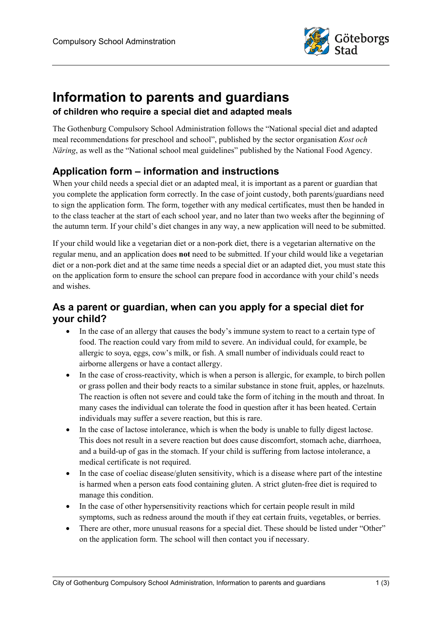

# **Information to parents and guardians of children who require a special diet and adapted meals**

The Gothenburg Compulsory School Administration follows the "National special diet and adapted meal recommendations for preschool and school", published by the sector organisation *Kost och Näring*, as well as the "National school meal guidelines" published by the National Food Agency.

# **Application form – information and instructions**

When your child needs a special diet or an adapted meal, it is important as a parent or guardian that you complete the application form correctly. In the case of joint custody, both parents/guardians need to sign the application form. The form, together with any medical certificates, must then be handed in to the class teacher at the start of each school year, and no later than two weeks after the beginning of the autumn term. If your child's diet changes in any way, a new application will need to be submitted.

If your child would like a vegetarian diet or a non-pork diet, there is a vegetarian alternative on the regular menu, and an application does **not** need to be submitted. If your child would like a vegetarian diet or a non-pork diet and at the same time needs a special diet or an adapted diet, you must state this on the application form to ensure the school can prepare food in accordance with your child's needs and wishes.

# **As a parent or guardian, when can you apply for a special diet for your child?**

- In the case of an allergy that causes the body's immune system to react to a certain type of food. The reaction could vary from mild to severe. An individual could, for example, be allergic to soya, eggs, cow's milk, or fish. A small number of individuals could react to airborne allergens or have a contact allergy.
- In the case of cross-reactivity, which is when a person is allergic, for example, to birch pollen or grass pollen and their body reacts to a similar substance in stone fruit, apples, or hazelnuts. The reaction is often not severe and could take the form of itching in the mouth and throat. In many cases the individual can tolerate the food in question after it has been heated. Certain individuals may suffer a severe reaction, but this is rare.
- In the case of lactose intolerance, which is when the body is unable to fully digest lactose. This does not result in a severe reaction but does cause discomfort, stomach ache, diarrhoea, and a build-up of gas in the stomach. If your child is suffering from lactose intolerance, a medical certificate is not required.
- In the case of coeliac disease/gluten sensitivity, which is a disease where part of the intestine is harmed when a person eats food containing gluten. A strict gluten-free diet is required to manage this condition.
- In the case of other hypersensitivity reactions which for certain people result in mild symptoms, such as redness around the mouth if they eat certain fruits, vegetables, or berries.
- There are other, more unusual reasons for a special diet. These should be listed under "Other" on the application form. The school will then contact you if necessary.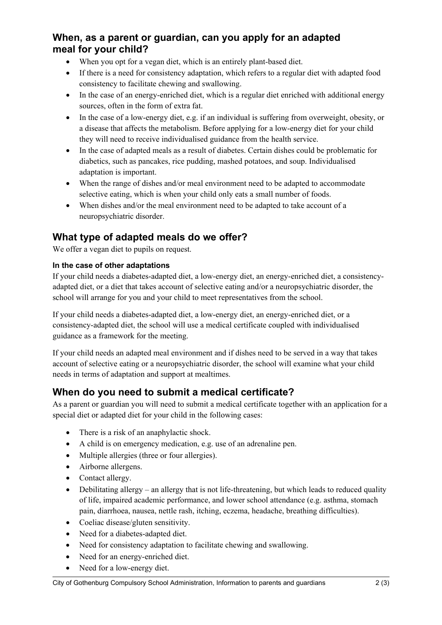### **When, as a parent or guardian, can you apply for an adapted meal for your child?**

- When you opt for a vegan diet, which is an entirely plant-based diet.
- If there is a need for consistency adaptation, which refers to a regular diet with adapted food consistency to facilitate chewing and swallowing.
- In the case of an energy-enriched diet, which is a regular diet enriched with additional energy sources, often in the form of extra fat.
- In the case of a low-energy diet, e.g. if an individual is suffering from overweight, obesity, or a disease that affects the metabolism. Before applying for a low-energy diet for your child they will need to receive individualised guidance from the health service.
- In the case of adapted meals as a result of diabetes. Certain dishes could be problematic for diabetics, such as pancakes, rice pudding, mashed potatoes, and soup. Individualised adaptation is important.
- When the range of dishes and/or meal environment need to be adapted to accommodate selective eating, which is when your child only eats a small number of foods.
- When dishes and/or the meal environment need to be adapted to take account of a neuropsychiatric disorder.

# **What type of adapted meals do we offer?**

We offer a vegan diet to pupils on request.

#### **In the case of other adaptations**

If your child needs a diabetes-adapted diet, a low-energy diet, an energy-enriched diet, a consistencyadapted diet, or a diet that takes account of selective eating and/or a neuropsychiatric disorder, the school will arrange for you and your child to meet representatives from the school.

If your child needs a diabetes-adapted diet, a low-energy diet, an energy-enriched diet, or a consistency-adapted diet, the school will use a medical certificate coupled with individualised guidance as a framework for the meeting.

If your child needs an adapted meal environment and if dishes need to be served in a way that takes account of selective eating or a neuropsychiatric disorder, the school will examine what your child needs in terms of adaptation and support at mealtimes.

### **When do you need to submit a medical certificate?**

As a parent or guardian you will need to submit a medical certificate together with an application for a special diet or adapted diet for your child in the following cases:

- There is a risk of an anaphylactic shock.
- A child is on emergency medication, e.g. use of an adrenaline pen.
- Multiple allergies (three or four allergies).
- Airborne allergens.
- Contact allergy.
- Debilitating allergy an allergy that is not life-threatening, but which leads to reduced quality of life, impaired academic performance, and lower school attendance (e.g. asthma, stomach pain, diarrhoea, nausea, nettle rash, itching, eczema, headache, breathing difficulties).
- Coeliac disease/gluten sensitivity.
- Need for a diabetes-adapted diet.
- Need for consistency adaptation to facilitate chewing and swallowing.
- Need for an energy-enriched diet.
- Need for a low-energy diet.